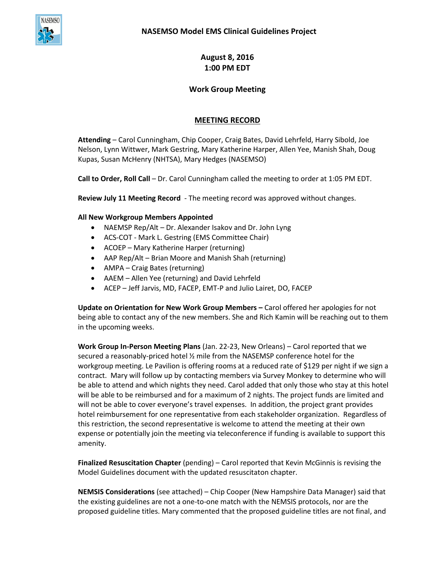

**August 8, 2016 1:00 PM EDT**

## **Work Group Meeting**

## **MEETING RECORD**

**Attending** – Carol Cunningham, Chip Cooper, Craig Bates, David Lehrfeld, Harry Sibold, Joe Nelson, Lynn Wittwer, Mark Gestring, Mary Katherine Harper, Allen Yee, Manish Shah, Doug Kupas, Susan McHenry (NHTSA), Mary Hedges (NASEMSO)

**Call to Order, Roll Call** – Dr. Carol Cunningham called the meeting to order at 1:05 PM EDT.

**Review July 11 Meeting Record** - The meeting record was approved without changes.

## **All New Workgroup Members Appointed**

- NAEMSP Rep/Alt Dr. Alexander Isakov and Dr. John Lyng
- ACS-COT Mark L. Gestring (EMS Committee Chair)
- ACOEP Mary Katherine Harper (returning)
- AAP Rep/Alt Brian Moore and Manish Shah (returning)
- AMPA Craig Bates (returning)
- AAEM Allen Yee (returning) and David Lehrfeld
- ACEP Jeff Jarvis, MD, FACEP, EMT-P and Julio Lairet, DO, FACEP

**Update on Orientation for New Work Group Members –** Carol offered her apologies for not being able to contact any of the new members. She and Rich Kamin will be reaching out to them in the upcoming weeks.

**Work Group In-Person Meeting Plans** (Jan. 22-23, New Orleans) – Carol reported that we secured a reasonably-priced hotel ½ mile from the NASEMSP conference hotel for the workgroup meeting. Le Pavilion is offering rooms at a reduced rate of \$129 per night if we sign a contract. Mary will follow up by contacting members via Survey Monkey to determine who will be able to attend and which nights they need. Carol added that only those who stay at this hotel will be able to be reimbursed and for a maximum of 2 nights. The project funds are limited and will not be able to cover everyone's travel expenses. In addition, the project grant provides hotel reimbursement for one representative from each stakeholder organization. Regardless of this restriction, the second representative is welcome to attend the meeting at their own expense or potentially join the meeting via teleconference if funding is available to support this amenity.

**Finalized Resuscitation Chapter** (pending) – Carol reported that Kevin McGinnis is revising the Model Guidelines document with the updated resuscitaton chapter.

**NEMSIS Considerations** (see attached) – Chip Cooper (New Hampshire Data Manager) said that the existing guidelines are not a one-to-one match with the NEMSIS protocols, nor are the proposed guideline titles. Mary commented that the proposed guideline titles are not final, and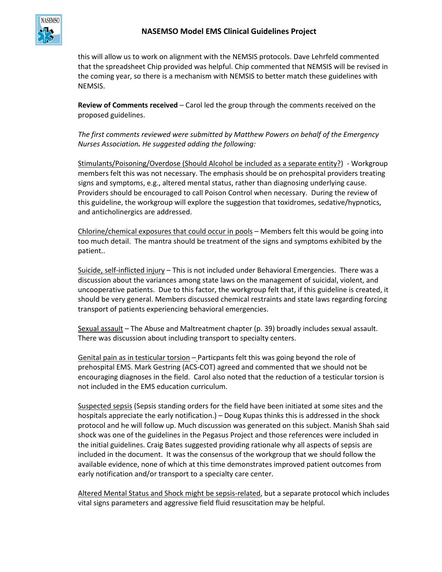

this will allow us to work on alignment with the NEMSIS protocols. Dave Lehrfeld commented that the spreadsheet Chip provided was helpful. Chip commented that NEMSIS will be revised in the coming year, so there is a mechanism with NEMSIS to better match these guidelines with NEMSIS.

**Review of Comments received** – Carol led the group through the comments received on the proposed guidelines.

*The first comments reviewed were submitted by Matthew Powers on behalf of the Emergency Nurses Association. He suggested adding the following:*

Stimulants/Poisoning/Overdose (Should Alcohol be included as a separate entity?) - Workgroup members felt this was not necessary. The emphasis should be on prehospital providers treating signs and symptoms, e.g., altered mental status, rather than diagnosing underlying cause. Providers should be encouraged to call Poison Control when necessary. During the review of this guideline, the workgroup will explore the suggestion that toxidromes, sedative/hypnotics, and anticholinergics are addressed.

Chlorine/chemical exposures that could occur in pools – Members felt this would be going into too much detail. The mantra should be treatment of the signs and symptoms exhibited by the patient..

Suicide, self-inflicted injury – This is not included under Behavioral Emergencies. There was a discussion about the variances among state laws on the management of suicidal, violent, and uncooperative patients. Due to this factor, the workgroup felt that, if this guideline is created, it should be very general. Members discussed chemical restraints and state laws regarding forcing transport of patients experiencing behavioral emergencies.

Sexual assault – The Abuse and Maltreatment chapter (p. 39) broadly includes sexual assault. There was discussion about including transport to specialty centers.

Genital pain as in testicular torsion – Particpants felt this was going beyond the role of prehospital EMS. Mark Gestring (ACS-COT) agreed and commented that we should not be encouraging diagnoses in the field. Carol also noted that the reduction of a testicular torsion is not included in the EMS education curriculum.

Suspected sepsis (Sepsis standing orders for the field have been initiated at some sites and the hospitals appreciate the early notification.) – Doug Kupas thinks this is addressed in the shock protocol and he will follow up. Much discussion was generated on this subject. Manish Shah said shock was one of the guidelines in the Pegasus Project and those references were included in the initial guidelines. Craig Bates suggested providing rationale why all aspects of sepsis are included in the document. It was the consensus of the workgroup that we should follow the available evidence, none of which at this time demonstrates improved patient outcomes from early notification and/or transport to a specialty care center.

Altered Mental Status and Shock might be sepsis-related, but a separate protocol which includes vital signs parameters and aggressive field fluid resuscitation may be helpful.